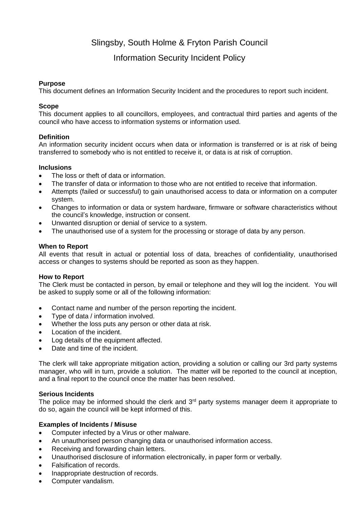# Slingsby, South Holme & Fryton Parish Council

# Information Security Incident Policy

#### **Purpose**

This document defines an Information Security Incident and the procedures to report such incident.

# **Scope**

This document applies to all councillors, employees, and contractual third parties and agents of the council who have access to information systems or information used.

# **Definition**

An information security incident occurs when data or information is transferred or is at risk of being transferred to somebody who is not entitled to receive it, or data is at risk of corruption.

# **Inclusions**

- The loss or theft of data or information.
- The transfer of data or information to those who are not entitled to receive that information.
- Attempts (failed or successful) to gain unauthorised access to data or information on a computer system.
- Changes to information or data or system hardware, firmware or software characteristics without the council's knowledge, instruction or consent.
- Unwanted disruption or denial of service to a system.
- The unauthorised use of a system for the processing or storage of data by any person.

# **When to Report**

All events that result in actual or potential loss of data, breaches of confidentiality, unauthorised access or changes to systems should be reported as soon as they happen.

#### **How to Report**

The Clerk must be contacted in person, by email or telephone and they will log the incident. You will be asked to supply some or all of the following information:

- Contact name and number of the person reporting the incident.
- Type of data / information involved.
- Whether the loss puts any person or other data at risk.
- Location of the incident.
- Log details of the equipment affected.
- Date and time of the incident

The clerk will take appropriate mitigation action, providing a solution or calling our 3rd party systems manager, who will in turn, provide a solution. The matter will be reported to the council at inception, and a final report to the council once the matter has been resolved.

#### **Serious Incidents**

The police may be informed should the clerk and  $3<sup>rd</sup>$  party systems manager deem it appropriate to do so, again the council will be kept informed of this.

#### **Examples of Incidents / Misuse**

- Computer infected by a Virus or other malware.
- An unauthorised person changing data or unauthorised information access.
- Receiving and forwarding chain letters.
- Unauthorised disclosure of information electronically, in paper form or verbally.
- Falsification of records.
- Inappropriate destruction of records.
- Computer vandalism.